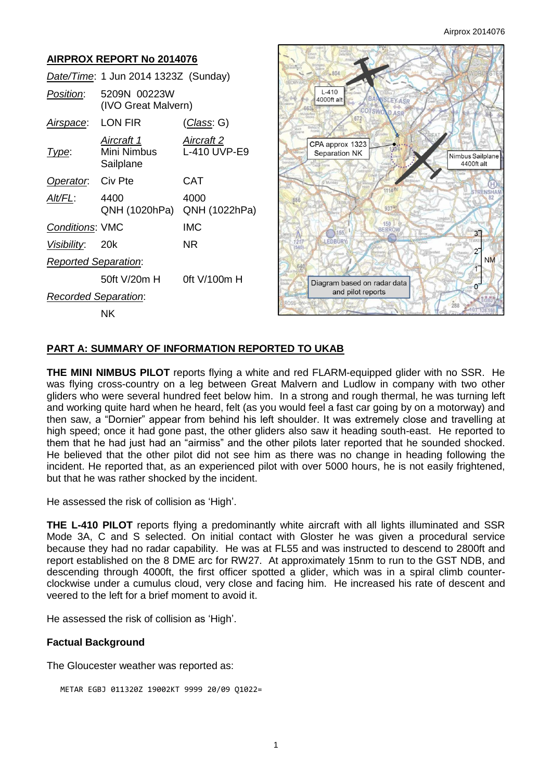#### **AIRPROX REPORT No 2014076** *Date/Time*: 1 Jun 2014 1323Z (Sunday)  $L-410$ *Position*: 5209N 00223W 4000ft alt EYASE (IVO Great Malvern) *Airspace*: LON FIR (*Class*: G) *Aircraft 1 Aircraft 2* CPA approx 1323 *Type*: Mini Nimbus L-410 UVP-E9 Separation NK Nimbus Sailplane **Sailplane** 4400ft alt **Operator:** Civ Pte **CAT** *Alt/FL*: 4400 4000 QNH (1020hPa) QNH (1022hPa)  $937$ 150 *Conditions*: VMC IMC 155  $3<sup>7</sup>$ **RIP** *Visibility*: 20k NR  $\overline{c}$ **NM** *Reported Separation*: 1 50ft V/20m H 0ft V/100m H Diagram based on radar data Ô and pilot reports *Recorded Separation*:  $2RR$ NK

#### **PART A: SUMMARY OF INFORMATION REPORTED TO UKAB**

**THE MINI NIMBUS PILOT** reports flying a white and red FLARM-equipped glider with no SSR. He was flying cross-country on a leg between Great Malvern and Ludlow in company with two other gliders who were several hundred feet below him. In a strong and rough thermal, he was turning left and working quite hard when he heard, felt (as you would feel a fast car going by on a motorway) and then saw, a "Dornier" appear from behind his left shoulder. It was extremely close and travelling at high speed; once it had gone past, the other gliders also saw it heading south-east. He reported to them that he had just had an "airmiss" and the other pilots later reported that he sounded shocked. He believed that the other pilot did not see him as there was no change in heading following the incident. He reported that, as an experienced pilot with over 5000 hours, he is not easily frightened, but that he was rather shocked by the incident.

He assessed the risk of collision as 'High'.

**THE L-410 PILOT** reports flying a predominantly white aircraft with all lights illuminated and SSR Mode 3A, C and S selected. On initial contact with Gloster he was given a procedural service because they had no radar capability. He was at FL55 and was instructed to descend to 2800ft and report established on the 8 DME arc for RW27. At approximately 15nm to run to the GST NDB, and descending through 4000ft, the first officer spotted a glider, which was in a spiral climb counterclockwise under a cumulus cloud, very close and facing him. He increased his rate of descent and veered to the left for a brief moment to avoid it.

He assessed the risk of collision as 'High'.

#### **Factual Background**

The Gloucester weather was reported as:

```
 METAR EGBJ 011320Z 19002KT 9999 20/09 Q1022=
```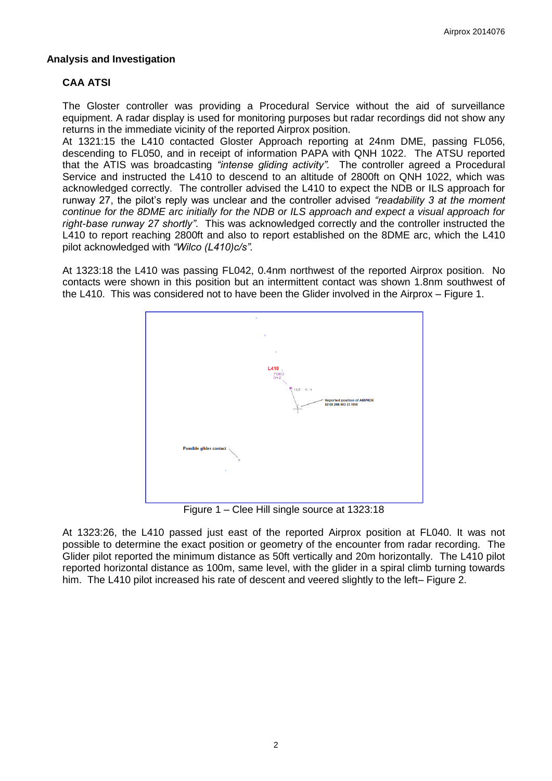#### **Analysis and Investigation**

### **CAA ATSI**

The Gloster controller was providing a Procedural Service without the aid of surveillance equipment. A radar display is used for monitoring purposes but radar recordings did not show any returns in the immediate vicinity of the reported Airprox position.

At 1321:15 the L410 contacted Gloster Approach reporting at 24nm DME, passing FL056, descending to FL050, and in receipt of information PAPA with QNH 1022. The ATSU reported that the ATIS was broadcasting *"intense gliding activity".* The controller agreed a Procedural Service and instructed the L410 to descend to an altitude of 2800ft on QNH 1022, which was acknowledged correctly. The controller advised the L410 to expect the NDB or ILS approach for runway 27, the pilot's reply was unclear and the controller advised *"readability 3 at the moment continue for the 8DME arc initially for the NDB or ILS approach and expect a visual approach for right-base runway 27 shortly"*. This was acknowledged correctly and the controller instructed the L410 to report reaching 2800ft and also to report established on the 8DME arc, which the L410 pilot acknowledged with *"Wilco (L410)c/s".*

At 1323:18 the L410 was passing FL042, 0.4nm northwest of the reported Airprox position. No contacts were shown in this position but an intermittent contact was shown 1.8nm southwest of the L410. This was considered not to have been the Glider involved in the Airprox – Figure 1.



Figure 1 – Clee Hill single source at 1323:18

At 1323:26, the L410 passed just east of the reported Airprox position at FL040. It was not possible to determine the exact position or geometry of the encounter from radar recording. The Glider pilot reported the minimum distance as 50ft vertically and 20m horizontally. The L410 pilot reported horizontal distance as 100m, same level, with the glider in a spiral climb turning towards him. The L410 pilot increased his rate of descent and veered slightly to the left– Figure 2.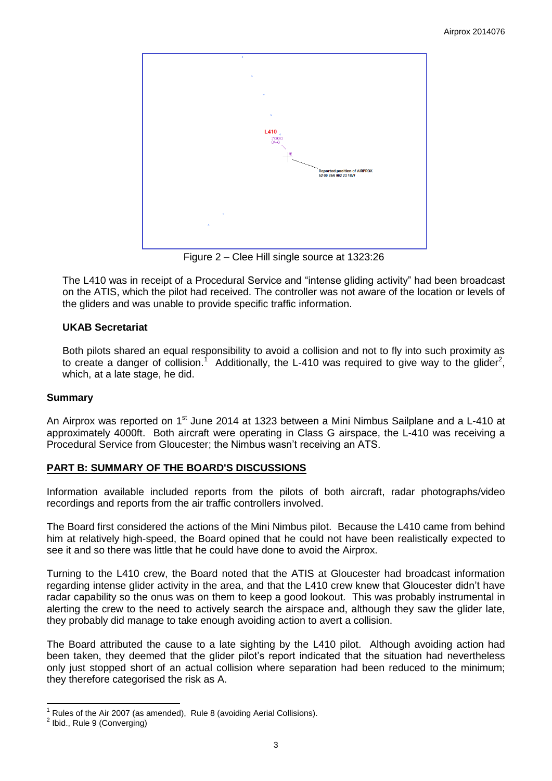

Figure 2 – Clee Hill single source at 1323:26

The L410 was in receipt of a Procedural Service and "intense gliding activity" had been broadcast on the ATIS, which the pilot had received. The controller was not aware of the location or levels of the gliders and was unable to provide specific traffic information.

## **UKAB Secretariat**

Both pilots shared an equal responsibility to avoid a collision and not to fly into such proximity as to create a danger of collision.<sup>1</sup> Additionally, the L-410 was required to give way to the glider<sup>2</sup>, which, at a late stage, he did.

#### **Summary**

An Airprox was reported on 1<sup>st</sup> June 2014 at 1323 between a Mini Nimbus Sailplane and a L-410 at approximately 4000ft. Both aircraft were operating in Class G airspace, the L-410 was receiving a Procedural Service from Gloucester; the Nimbus wasn't receiving an ATS.

#### **PART B: SUMMARY OF THE BOARD'S DISCUSSIONS**

Information available included reports from the pilots of both aircraft, radar photographs/video recordings and reports from the air traffic controllers involved.

The Board first considered the actions of the Mini Nimbus pilot. Because the L410 came from behind him at relatively high-speed, the Board opined that he could not have been realistically expected to see it and so there was little that he could have done to avoid the Airprox.

Turning to the L410 crew, the Board noted that the ATIS at Gloucester had broadcast information regarding intense glider activity in the area, and that the L410 crew knew that Gloucester didn't have radar capability so the onus was on them to keep a good lookout. This was probably instrumental in alerting the crew to the need to actively search the airspace and, although they saw the glider late, they probably did manage to take enough avoiding action to avert a collision.

The Board attributed the cause to a late sighting by the L410 pilot. Although avoiding action had been taken, they deemed that the glider pilot's report indicated that the situation had nevertheless only just stopped short of an actual collision where separation had been reduced to the minimum; they therefore categorised the risk as A.

 $\overline{\phantom{a}}$ Rules of the Air 2007 (as amended), Rule 8 (avoiding Aerial Collisions).

<sup>&</sup>lt;sup>2</sup> Ibid., Rule 9 (Converging)